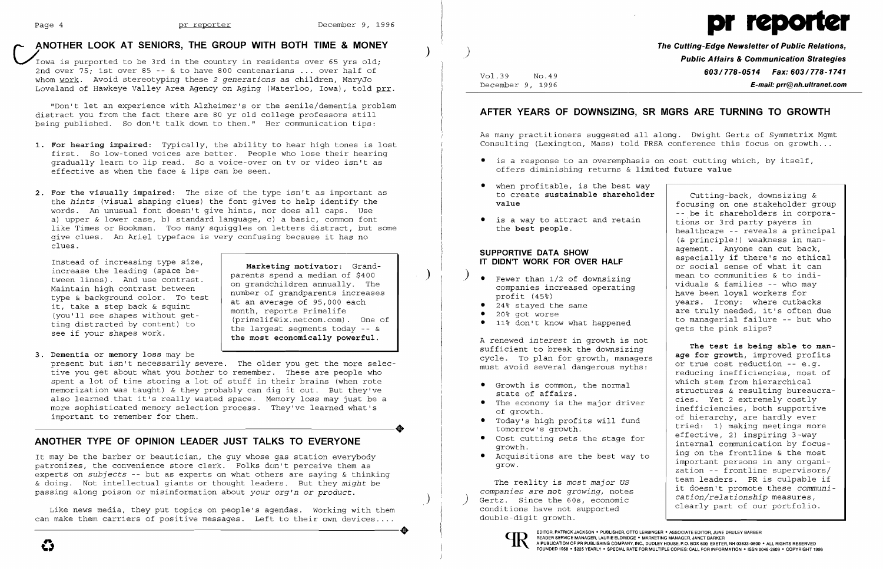# **ANOTHER LOOK AT SENIORS, THE GROUP WITH BOTH TIME & MONEY**<br>Iowa is purported to be 3rd in the country in residents over 65 yrs old;

2nd over 75; 1st over 85 -- & to have 800 centenarians ... over half of whom work. Avoid stereotyping these 2 *generations* as children, MaryJo Loveland of Hawkeye Valley Area Agency on Aging (Waterloo, Iowa), told prr.

"Don't let an experience with Alzheimer's or the senile/dementia problem distract you from the fact there are 80 yr old college professors still being published. So don't talk down to them." Her communication tips:

- **1. For hearing impaired:** Typically, the ability to hear high tones is lost first. So low-toned voices are better. People who lose their hearing gradually learn to lip read. So a voice-over on tv or video isn't as effective as when the face & lips can be seen.
- **2. For the visually impaired:** The size of the type isn't as important as the *hints* (visual shaping clues) the font gives to help identify the words. An unusual font doesn't give hints, nor does all caps. Use a) upper & lower case, b) standard language, c) a basic, common font like Times or Bookman. Too many squiggles on letters distract, but some give clues. An Ariel typeface is very confusing because it has no clues.

Instead of increasing type size,<br>
increase the leading (space be-<br>
tween lines). And use contrast.<br>
Maintain high contrast between and on grandchildren annually. The<br>
Maintain high contrast between Eween lines). And use contrast.<br>
Maintain high contrast between<br>
type & background color. To test<br>
it, take a step back & squint<br>
(you'll see shapes without get-<br>
ting distracted by content) to<br>
see if your shapes work<br>
se ting distracted by content) to the largest segments today -- &<br>see if your shapes work.<br>**the most economically powerful**.

It may be the barber or beautician, the guy whose gas station everybody patronizes, the convenience store clerk. Folks don't perceive them as experts on *subjects* -- but as experts on what others are saying & thinking & doing. Not intellectual giants or thought leaders. But they *might* be passing along poison or misinformation about *your org'n* or *product.* )

Cutting-back, downsizing & **value** focusing on one stakeholder group -- be it shareholders in corpora healthcare -- reveals a principal (& principle!) weakness in man-<br>agement. Anyone can cut back, agement. Anyone can cut back, **SUPPORTIVE DATA SHOW** especially if there's no ethical **IT DIDN'T WORK FOR OVER HALF**  or social sense of what it can<br>mean to communities & to indiyears. Irony: where cutbacks are truly needed, it's often due to managerial failure -- but who<br>gets the pink slips?

must avoid several dangerous myths:  $\begin{array}{c} \circ \text{r} \text{ true cost reduction -- e.g.} \\ \text{reducing inefficiencies, most of} \end{array}$ which stem from hierarchical state of affairs.<br>• The economy is the major driver and the state of affairs.<br>• The economy is the major driver and the state of a stremely costly of growth.<br>
• Today's high profits will fund<br>
tomorrow's crowth tomorrow's the major driver of hierarchy, are hardly ever<br>
tried: 1) making meetings more • Today's high profits will fund tomorrow's growth.<br>
• Cost cutting sets the stage for internal communication by focus growth.<br>
• Acquisitions are the best way to ing on the frontline & the most Acquisitions are the best way to important persons in any organi-<br>grow.<br>The reality is mest major  $\frac{100}{2}$  ation -- frontline supervisors/<br>team leaders. PR is culpable if it doesn't promote these *communi-*<br>*cation/relationship* measures, clearly part of our portfolio.

## **3. Dementia or memory loss** may be

present but isn't necessarily severe. The older you get the more selective you get about what you *bother* to remember. These are people who spent a lot of time storing a lot of stuff in their brains (when rote memorization was taught) & they probably can dig it out. But they've also learned that it's really wasted space. Memory loss may just be a more sophisticated memory selection process. They've learned what's<br>
important to remember for them.<br>
ANOTHED TVDE OF ODINION LEADED HIST TALKS TO EVEDVONE important to remember for them.

A renewed *interest* in growth is not The test is being able to man-<br>sufficient to break the downsizing<br>age for growth, improved profits cycle. To plan for growth, managers age for growth, improved profit<br>must areid general dangers with exact or true cost reduction -- e.g.

- Growth is common, the normal<br>state of affairs.
- 
- 
- 
- 

## **ANOTHER TYPE OF OPINION LEADER JUST TALKS TO EVERYONE**

The reality is most major US<br>companies are not growing, notes *Gertz.* Since the 60s, economic<br>conditions have not supported double-digit growth.



Like news media, they put topics on people's agendas. Working with them can make them carriers of positive messages. Left to their own devices .... ----------------------+ EDITOR, PATRICK JACKSON • PUBLISHER, *OTTO* LERBINGER • ASSOCIATE EDITOR, JUNE DRULEY BARBER aD READER SERVICE MANAGER, LAURIE ELDRIDGE· MARKETING MANAGER, JANET BARKER



## **The Cutting-Edge Newsletter of Public Relations,** ) **Public Affairs & Communication Strategies 1001.39 No.49 No.49 No.49 No.49 Research Mo.49 Research Mo.49 Research Mo.49 Research Mo.49 Research Mo.49 Research Mo<br><b>E-mail: prr@nh.ultranet.com Research Mo.199**6 Research Mo.1996 December 9, 1996 **E-mail: prr@nh.ultranet.com**

## **AFTER YEARS OF DOWNSIZING, SR MGRS ARE TURNING TO GROWTH**

As many practitioners suggested all along. Dwight Gertz of Symmetrix Mgmt Consulting (Lexington, Mass) told PRSA conference this focus on growth ...

- is a response to an overemphasis on cost cutting which, by itself, offers diminishing returns & **limited future value**
- when profitable, is the best way to create **sustainable shareholder**
- is a way to attract and retain  $\begin{array}{c|c} \bullet & \text{if } \bullet \\ \text{then } \bullet & \text{if } \bullet \\ \text{then } \bullet & \text{if } \bullet \end{array}$

- Fewer than 1/2 of downsizing and to communities & to indi-<br>viduals & families -- who may companies increased operating and all viduals & families -- who may profit (45%)
- $24\text{*}$  stayed the same<br>• 20% got worse
- 
- $\bullet$  11% don't know what happened